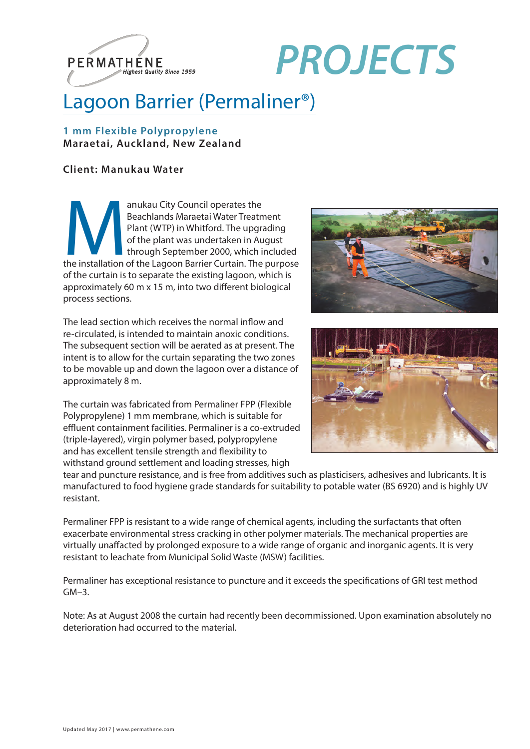

# *Highest Quality Since 1959 PROJECTS*

## Lagoon Barrier (Permaliner®)

#### **1 mm Flexible Polypropylene Maraetai, Auckland, New Zealand**

#### **Client: Manukau Water**

anukau City Council operates the<br>
Beachlands Maraetai Water Treatment<br>
Plant (WTP) in Whitford. The upgrading<br>
of the plant was undertaken in August<br>
through September 2000, which included<br>
the installation of the Lagoon B Beachlands Maraetai Water Treatment Plant (WTP) in Whitford. The upgrading of the plant was undertaken in August through September 2000, which included of the curtain is to separate the existing lagoon, which is approximately 60 m x 15 m, into two different biological process sections.

The lead section which receives the normal inflow and re-circulated, is intended to maintain anoxic conditions. The subsequent section will be aerated as at present. The intent is to allow for the curtain separating the two zones to be movable up and down the lagoon over a distance of approximately 8 m.

The curtain was fabricated from Permaliner FPP (Flexible Polypropylene) 1 mm membrane, which is suitable for effluent containment facilities. Permaliner is a co-extruded (triple-layered), virgin polymer based, polypropylene and has excellent tensile strength and flexibility to withstand ground settlement and loading stresses, high





tear and puncture resistance, and is free from additives such as plasticisers, adhesives and lubricants. It is manufactured to food hygiene grade standards for suitability to potable water (BS 6920) and is highly UV resistant.

Permaliner FPP is resistant to a wide range of chemical agents, including the surfactants that often exacerbate environmental stress cracking in other polymer materials. The mechanical properties are virtually unaffacted by prolonged exposure to a wide range of organic and inorganic agents. It is very resistant to leachate from Municipal Solid Waste (MSW) facilities.

Permaliner has exceptional resistance to puncture and it exceeds the specifications of GRI test method  $GM-3$ .

Note: As at August 2008 the curtain had recently been decommissioned. Upon examination absolutely no deterioration had occurred to the material.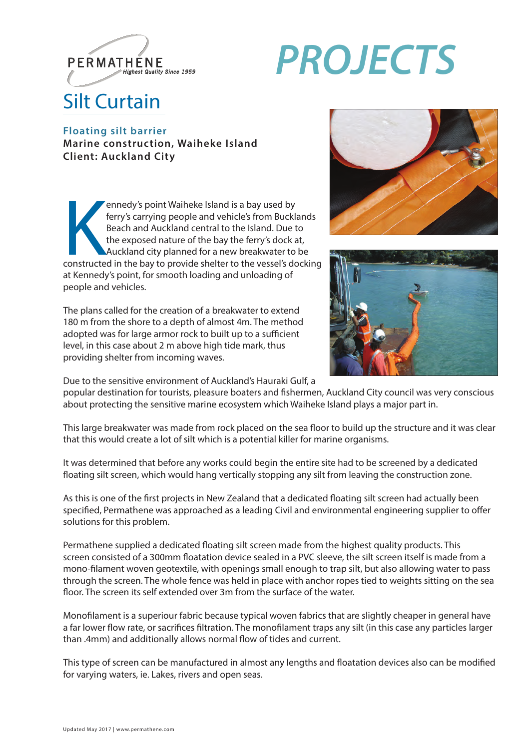

# *Highest Quality Since 1959 PROJECTS*

## Silt Curtain

#### **Floating silt barrier Marine construction, Waiheke Island Client: Auckland City**

ennedy's point Waiheke Island is a bay used by<br>ferry's carrying people and vehicle's from Bucklands<br>Beach and Auckland central to the Island. Due to<br>the exposed nature of the bay the ferry's dock at,<br>Auckland city planned ennedy's point Waiheke Island is a bay used by ferry's carrying people and vehicle's from Bucklands Beach and Auckland central to the Island. Due to the exposed nature of the bay the ferry's dock at, Auckland city planned for a new breakwater to be at Kennedy's point, for smooth loading and unloading of people and vehicles.

The plans called for the creation of a breakwater to extend 180 m from the shore to a depth of almost 4m. The method adopted was for large armor rock to built up to a sufficient level, in this case about 2 m above high tide mark, thus providing shelter from incoming waves.





Due to the sensitive environment of Auckland's Hauraki Gulf, a

popular destination for tourists, pleasure boaters and fishermen, Auckland City council was very conscious about protecting the sensitive marine ecosystem which Waiheke Island plays a major part in.

This large breakwater was made from rock placed on the sea floor to build up the structure and it was clear that this would create a lot of silt which is a potential killer for marine organisms.

It was determined that before any works could begin the entire site had to be screened by a dedicated floating silt screen, which would hang vertically stopping any silt from leaving the construction zone.

As this is one of the first projects in New Zealand that a dedicated floating silt screen had actually been specified, Permathene was approached as a leading Civil and environmental engineering supplier to offer solutions for this problem.

Permathene supplied a dedicated floating silt screen made from the highest quality products. This screen consisted of a 300mm floatation device sealed in a PVC sleeve, the silt screen itself is made from a mono-filament woven geotextile, with openings small enough to trap silt, but also allowing water to pass through the screen. The whole fence was held in place with anchor ropes tied to weights sitting on the sea floor. The screen its self extended over 3m from the surface of the water.

Monofilament is a superiour fabric because typical woven fabrics that are slightly cheaper in general have a far lower flow rate, or sacrifices filtration. The monofilament traps any silt (in this case any particles larger than .4mm) and additionally allows normal flow of tides and current.

This type of screen can be manufactured in almost any lengths and floatation devices also can be modified for varying waters, ie. Lakes, rivers and open seas.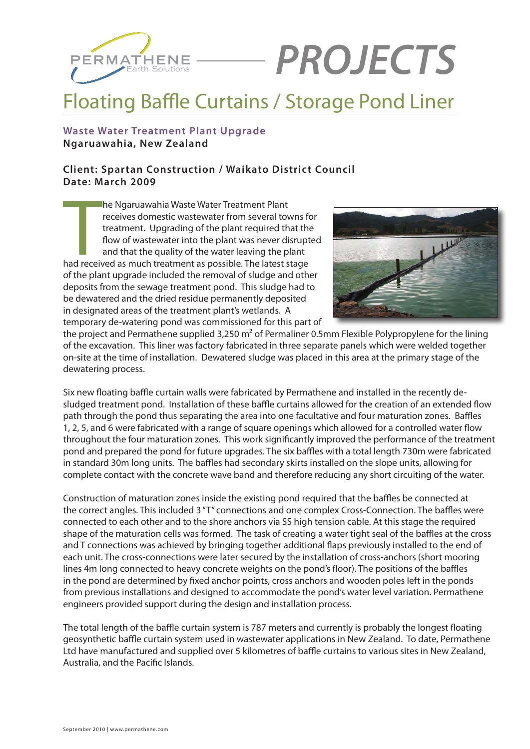

# Earth Solutions *PROJECTS*

### Floating Baffle Curtains / Storage Pond Liner

#### **Waste Water Treatment Plant Upgrade Ngaruawahia, New Zealand**

#### **Client: Spartan Construction / Waikato District Council Date: March 2009**

The Ngaruawahia Waste Water Treatment Plant<br>receives domestic wastewater from several towns for<br>treatment. Upgrading of the plant required that the<br>flow of wastewater into the plant was never disrupt<br>and that the quality o he Ngaruawahia Waste Water Treatment Plant receives domestic wastewater from several towns for treatment. Upgrading of the plant required that the flow of wastewater into the plant was never disrupted and that the quality of the water leaving the plant of the plant upgrade included the removal of sludge and other deposits from the sewage treatment pond. This sludge had to be dewatered and the dried residue permanently deposited in designated areas of the treatment plant's wetlands. A temporary de-watering pond was commissioned for this part of



the project and Permathene supplied 3,250 m² of Permaliner 0.5mm Flexible Polypropylene for the lining of the excavation. This liner was factory fabricated in three separate panels which were welded together on-site at the time of installation. Dewatered sludge was placed in this area at the primary stage of the dewatering process.

Six new floating baffle curtain walls were fabricated by Permathene and installed in the recently desludged treatment pond. Installation of these baffle curtains allowed for the creation of an extended flow path through the pond thus separating the area into one facultative and four maturation zones. Baffles 1, 2, 5, and 6 were fabricated with a range of square openings which allowed for a controlled water flow throughout the four maturation zones. This work significantly improved the performance of the treatment pond and prepared the pond for future upgrades. The six baffles with a total length 730m were fabricated in standard 30m long units. The baffles had secondary skirts installed on the slope units, allowing for complete contact with the concrete wave band and therefore reducing any short circuiting of the water.

Construction of maturation zones inside the existing pond required that the baffles be connected at the correct angles. This included 3 "T" connections and one complex Cross-Connection. The baffles were connected to each other and to the shore anchors via SS high tension cable. At this stage the required shape of the maturation cells was formed. The task of creating a water tight seal of the baffles at the cross and T connections was achieved by bringing together additional flaps previously installed to the end of each unit. The cross-connections were later secured by the installation of cross-anchors (short mooring lines 4m long connected to heavy concrete weights on the pond's floor). The positions of the baffles in the pond are determined by fixed anchor points, cross anchors and wooden poles left in the ponds from previous installations and designed to accommodate the pond's water level variation. Permathene engineers provided support during the design and installation process.

The total length of the baffle curtain system is 787 meters and currently is probably the longest floating geosynthetic baffle curtain system used in wastewater applications in New Zealand. To date, Permathene Ltd have manufactured and supplied over 5 kilometres of baffle curtains to various sites in New Zealand, Australia, and the Pacific Islands.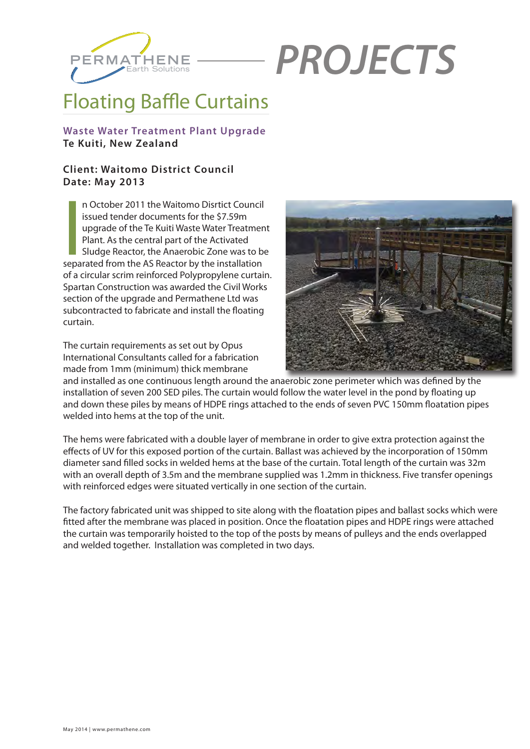

# **PROJECTS**

## Floating Baffle Curtains

#### **Waste Water Treatment Plant Upgrade Te Kuiti, New Zealand**

#### **Client: Waitomo District Council Date: May 2013**

n October 2011 the Waitomo Disrtict Council<br>issued tender documents for the \$7.59m<br>upgrade of the Te Kuiti Waste Water Treatmer<br>Plant. As the central part of the Activated<br>Sludge Reactor, the Anaerobic Zone was to b<br>separa n October 2011 the Waitomo Disrtict Council issued tender documents for the \$7.59m upgrade of the Te Kuiti Waste Water Treatment Plant. As the central part of the Activated Sludge Reactor, the Anaerobic Zone was to be of a circular scrim reinforced Polypropylene curtain. Spartan Construction was awarded the Civil Works section of the upgrade and Permathene Ltd was subcontracted to fabricate and install the floating curtain.

The curtain requirements as set out by Opus International Consultants called for a fabrication made from 1mm (minimum) thick membrane



and installed as one continuous length around the anaerobic zone perimeter which was defined by the installation of seven 200 SED piles. The curtain would follow the water level in the pond by floating up and down these piles by means of HDPE rings attached to the ends of seven PVC 150mm floatation pipes welded into hems at the top of the unit.

The hems were fabricated with a double layer of membrane in order to give extra protection against the effects of UV for this exposed portion of the curtain. Ballast was achieved by the incorporation of 150mm diameter sand filled socks in welded hems at the base of the curtain. Total length of the curtain was 32m with an overall depth of 3.5m and the membrane supplied was 1.2mm in thickness. Five transfer openings with reinforced edges were situated vertically in one section of the curtain.

The factory fabricated unit was shipped to site along with the floatation pipes and ballast socks which were fitted after the membrane was placed in position. Once the floatation pipes and HDPE rings were attached the curtain was temporarily hoisted to the top of the posts by means of pulleys and the ends overlapped and welded together. Installation was completed in two days.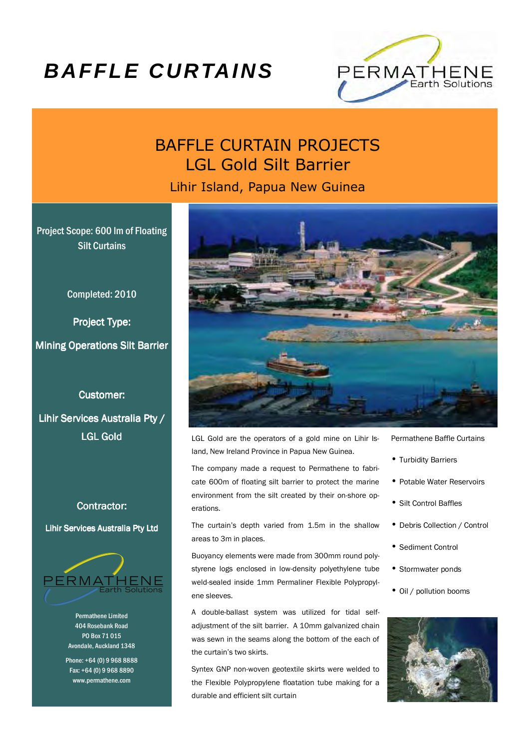## **BAFFLE CURTAINS**



### BAFFLE CURTAIN PROJECTS LGL Gold Silt Barrier

Lihir Island, Papua New Guinea

Project Scope: 600 lm of Floating Silt Curtains

Completed: 2010

Project Type: **Mining Operations Silt Barrier** 

**Customer:** 

Lihir Services Australia Pty / **LGL Gold** 

#### Contractor:

Lihir Services Australia Pty Ltd



Permathene Limited 404 Rosebank Road PO Box 71 015 Avondale, Auckland 1348

Phone: +64 (0) 9 968 8888 Fax: +64 (0) 9 968 8890 www.permathene.com



LGL Gold are the operators of a gold mine on Lihir Island, New Ireland Province in Papua New Guinea.

The company made a request to Permathene to fabricate 600m of floating silt barrier to protect the marine environment from the silt created by their on-shore operations.

The curtain's depth varied from 1.5m in the shallow areas to 3m in places.

Buoyancy elements were made from 300mm round polystyrene logs enclosed in low-density polyethylene tube weld-sealed inside 1mm Permaliner Flexible Polypropylene sleeves.

A double-ballast system was utilized for tidal selfadjustment of the silt barrier. A 10mm galvanized chain was sewn in the seams along the bottom of the each of the curtain's two skirts.

Syntex GNP non-woven geotextile skirts were welded to the Flexible Polypropylene floatation tube making for a durable and efficient silt curtain

- Permathene Baffle Curtains
- Turbidity Barriers
- Potable Water Reservoirs
- Silt Control Baffles
- Debris Collection / Control
- Sediment Control
- Stormwater ponds
- Oil / pollution booms

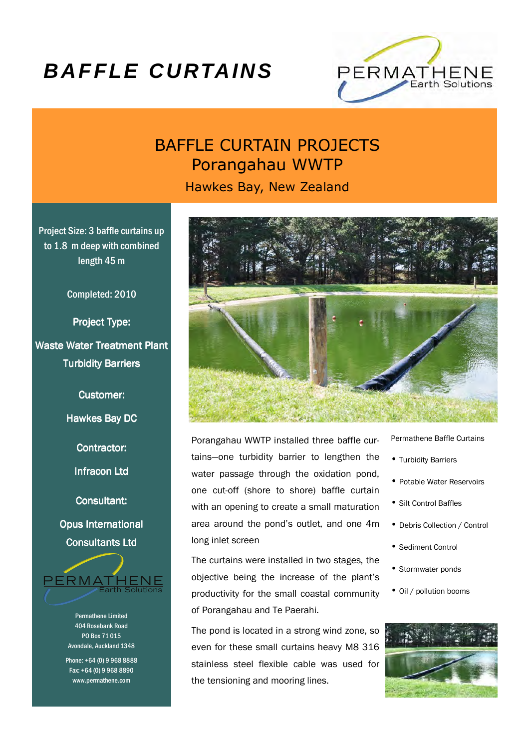## **BAFFLE CURTAINS**



### BAFFLE CURTAIN PROJECTS Porangahau WWTP

Hawkes Bay, New Zealand

Project Size: 3 baffle curtains up to 1.8 m deep with combined length 45 m

Completed: 2010

Project Type: Waste Water Treatment Plant **Turbidity Barriers** 

Customer:

Hawkes Bay DC

Contractor:

Infracon Ltd

Consultant:

Opus International Consultants Ltd



Permathene Limited 404 Rosebank Road PO Box 71 015 Avondale, Auckland 1348

Phone: +64 (0) 9 968 8888 Fax: +64 (0) 9 968 8890 www.permathene.com



Porangahau WWTP installed three baffle curtains—one turbidity barrier to lengthen the water passage through the oxidation pond, one cut-off (shore to shore) baffle curtain with an opening to create a small maturation area around the pond's outlet, and one 4m long inlet screen

The curtains were installed in two stages, the objective being the increase of the plant's productivity for the small coastal community of Porangahau and Te Paerahi.

The pond is located in a strong wind zone, so even for these small curtains heavy M8 316 stainless steel flexible cable was used for the tensioning and mooring lines.

Permathene Baffle Curtains

- Turbidity Barriers
- Potable Water Reservoirs
- Silt Control Baffles
- Debris Collection / Control
- Sediment Control
- Stormwater ponds
- Oil / pollution booms